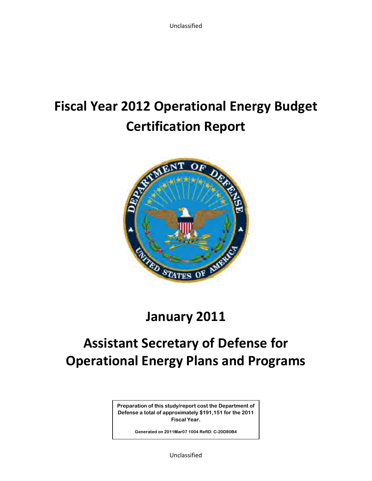# **Fiscal Year 2012 Operational Energy Budget Certification Report**



# **January 2011**

# **Assistant Secretary of Defense for Operational Energy Plans and Programs**

**Preparation of this study/report cost the Department of Defense a total of approximately \$191,151 for the 2011 Fiscal Year.** 

**Generated on 2011Mar07 1004 RefID: C-20D80B4** 

Unclassified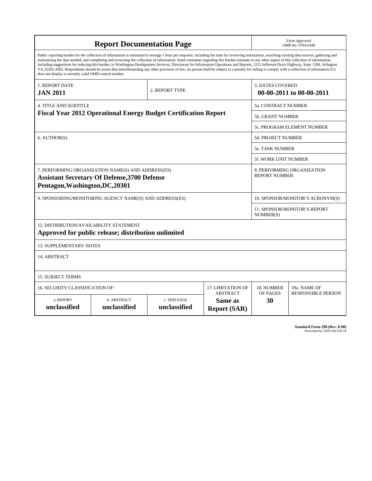| <b>Report Documentation Page</b>                                                                                                                                                        |                                                                                                                                                                                                                                                                                                                                                                                                                                                                                                                                                                                                                                                                                                                                                                                                          |                |                   | Form Approved<br>OMB No. 0704-0188                 |                                  |
|-----------------------------------------------------------------------------------------------------------------------------------------------------------------------------------------|----------------------------------------------------------------------------------------------------------------------------------------------------------------------------------------------------------------------------------------------------------------------------------------------------------------------------------------------------------------------------------------------------------------------------------------------------------------------------------------------------------------------------------------------------------------------------------------------------------------------------------------------------------------------------------------------------------------------------------------------------------------------------------------------------------|----------------|-------------------|----------------------------------------------------|----------------------------------|
| does not display a currently valid OMB control number.                                                                                                                                  | Public reporting burden for the collection of information is estimated to average 1 hour per response, including the time for reviewing instructions, searching existing data sources, gathering and<br>maintaining the data needed, and completing and reviewing the collection of information. Send comments regarding this burden estimate or any other aspect of this collection of information,<br>including suggestions for reducing this burden, to Washington Headquarters Services, Directorate for Information Operations and Reports, 1215 Jefferson Davis Highway, Suite 1204, Arlington<br>VA 22202-4302. Respondents should be aware that notwithstanding any other provision of law, no person shall be subject to a penalty for failing to comply with a collection of information if it |                |                   |                                                    |                                  |
| 1. REPORT DATE<br><b>JAN 2011</b>                                                                                                                                                       |                                                                                                                                                                                                                                                                                                                                                                                                                                                                                                                                                                                                                                                                                                                                                                                                          | 2. REPORT TYPE |                   | <b>3. DATES COVERED</b>                            | 00-00-2011 to 00-00-2011         |
| <b>4. TITLE AND SUBTITLE</b>                                                                                                                                                            |                                                                                                                                                                                                                                                                                                                                                                                                                                                                                                                                                                                                                                                                                                                                                                                                          |                |                   | <b>5a. CONTRACT NUMBER</b>                         |                                  |
| <b>Fiscal Year 2012 Operational Energy Budget Certification Report</b>                                                                                                                  |                                                                                                                                                                                                                                                                                                                                                                                                                                                                                                                                                                                                                                                                                                                                                                                                          |                |                   | <b>5b. GRANT NUMBER</b>                            |                                  |
|                                                                                                                                                                                         |                                                                                                                                                                                                                                                                                                                                                                                                                                                                                                                                                                                                                                                                                                                                                                                                          |                |                   |                                                    | 5c. PROGRAM ELEMENT NUMBER       |
| 6. AUTHOR(S)                                                                                                                                                                            |                                                                                                                                                                                                                                                                                                                                                                                                                                                                                                                                                                                                                                                                                                                                                                                                          |                |                   | <b>5d. PROJECT NUMBER</b>                          |                                  |
|                                                                                                                                                                                         |                                                                                                                                                                                                                                                                                                                                                                                                                                                                                                                                                                                                                                                                                                                                                                                                          |                |                   | 5e. TASK NUMBER                                    |                                  |
|                                                                                                                                                                                         |                                                                                                                                                                                                                                                                                                                                                                                                                                                                                                                                                                                                                                                                                                                                                                                                          |                |                   | <b>5f. WORK UNIT NUMBER</b>                        |                                  |
| 7. PERFORMING ORGANIZATION NAME(S) AND ADDRESS(ES)<br><b>Assistant Secretary Of Defense, 3700 Defense</b><br>Pentagon, Washington, DC, 20301                                            |                                                                                                                                                                                                                                                                                                                                                                                                                                                                                                                                                                                                                                                                                                                                                                                                          |                |                   | 8. PERFORMING ORGANIZATION<br><b>REPORT NUMBER</b> |                                  |
|                                                                                                                                                                                         | 9. SPONSORING/MONITORING AGENCY NAME(S) AND ADDRESS(ES)                                                                                                                                                                                                                                                                                                                                                                                                                                                                                                                                                                                                                                                                                                                                                  |                |                   |                                                    | 10. SPONSOR/MONITOR'S ACRONYM(S) |
|                                                                                                                                                                                         |                                                                                                                                                                                                                                                                                                                                                                                                                                                                                                                                                                                                                                                                                                                                                                                                          |                |                   | <b>11. SPONSOR/MONITOR'S REPORT</b><br>NUMBER(S)   |                                  |
| 12. DISTRIBUTION/AVAILABILITY STATEMENT                                                                                                                                                 | Approved for public release; distribution unlimited                                                                                                                                                                                                                                                                                                                                                                                                                                                                                                                                                                                                                                                                                                                                                      |                |                   |                                                    |                                  |
| <b>13. SUPPLEMENTARY NOTES</b>                                                                                                                                                          |                                                                                                                                                                                                                                                                                                                                                                                                                                                                                                                                                                                                                                                                                                                                                                                                          |                |                   |                                                    |                                  |
| 14. ABSTRACT                                                                                                                                                                            |                                                                                                                                                                                                                                                                                                                                                                                                                                                                                                                                                                                                                                                                                                                                                                                                          |                |                   |                                                    |                                  |
| <b>15. SUBJECT TERMS</b>                                                                                                                                                                |                                                                                                                                                                                                                                                                                                                                                                                                                                                                                                                                                                                                                                                                                                                                                                                                          |                |                   |                                                    |                                  |
|                                                                                                                                                                                         |                                                                                                                                                                                                                                                                                                                                                                                                                                                                                                                                                                                                                                                                                                                                                                                                          |                | 17. LIMITATION OF | 18. NUMBER                                         | 19a. NAME OF                     |
| <b>16. SECURITY CLASSIFICATION OF:</b><br><b>ABSTRACT</b><br>a. REPORT<br>b. ABSTRACT<br>c. THIS PAGE<br>Same as<br>unclassified<br>unclassified<br>unclassified<br><b>Report (SAR)</b> |                                                                                                                                                                                                                                                                                                                                                                                                                                                                                                                                                                                                                                                                                                                                                                                                          |                |                   | OF PAGES<br>30                                     | <b>RESPONSIBLE PERSON</b>        |

**Standard Form 298 (Rev. 8-98)**<br>Prescribed by ANSI Std Z39-18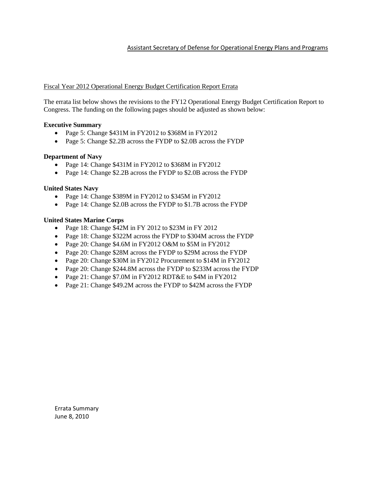### Assistant Secretary of Defense for Operational Energy Plans and Programs

### Fiscal Year 2012 Operational Energy Budget Certification Report Errata

The errata list below shows the revisions to the FY12 Operational Energy Budget Certification Report to Congress. The funding on the following pages should be adjusted as shown below:

### **Executive Summary**

- Page 5: Change \$431M in FY2012 to \$368M in FY2012
- Page 5: Change \$2.2B across the FYDP to \$2.0B across the FYDP

### **Department of Navy**

- Page 14: Change \$431M in FY2012 to \$368M in FY2012
- Page 14: Change \$2.2B across the FYDP to \$2.0B across the FYDP

#### **United States Navy**

- Page 14: Change \$389M in FY2012 to \$345M in FY2012
- Page 14: Change \$2.0B across the FYDP to \$1.7B across the FYDP

### **United States Marine Corps**

- Page 18: Change \$42M in FY 2012 to \$23M in FY 2012
- Page 18: Change \$322M across the FYDP to \$304M across the FYDP
- Page 20: Change \$4.6M in FY2012 O&M to \$5M in FY2012
- Page 20: Change \$28M across the FYDP to \$29M across the FYDP
- Page 20: Change \$30M in FY2012 Procurement to \$14M in FY2012
- Page 20: Change \$244.8M across the FYDP to \$233M across the FYDP
- Page 21: Change \$7.0M in FY2012 RDT&E to \$4M in FY2012
- Page 21: Change \$49.2M across the FYDP to \$42M across the FYDP

Errata Summary June 8, 2010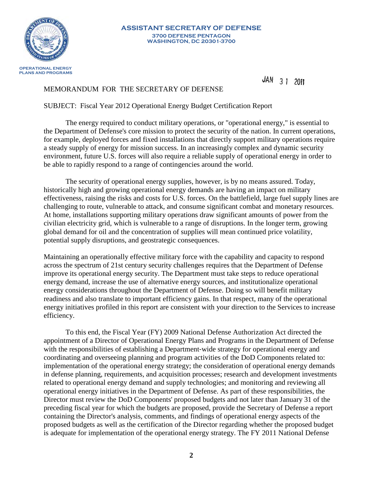

#### **ASSISTANT SECRETARY OF DEFENSE 3700 DEFENSE PENTAGON WASHINGTON, DC 20301-3700**

JAN 3 1 2011

## MEMORANDUM FOR THE SECRETARY OF DEFENSE

## SUBJECT: Fiscal Year 2012 Operational Energy Budget Certification Report

 The energy required to conduct military operations, or "operational energy," is essential to the Department of Defense's core mission to protect the security of the nation. In current operations, for example, deployed forces and fixed installations that directly support military operations require a steady supply of energy for mission success. In an increasingly complex and dynamic security environment, future U.S. forces will also require a reliable supply of operational energy in order to be able to rapidly respond to a range of contingencies around the world.

The security of operational energy supplies, however, is by no means assured. Today, historically high and growing operational energy demands are having an impact on military effectiveness, raising the risks and costs for U.S. forces. On the battlefield, large fuel supply lines are challenging to route, vulnerable to attack, and consume significant combat and monetary resources. At home, installations supporting military operations draw significant amounts of power from the civilian electricity grid, which is vulnerable to a range of disruptions. In the longer term, growing global demand for oil and the concentration of supplies will mean continued price volatility, potential supply disruptions, and geostrategic consequences.

Maintaining an operationally effective military force with the capability and capacity to respond across the spectrum of 21st century security challenges requires that the Department of Defense improve its operational energy security. The Department must take steps to reduce operational energy demand, increase the use of alternative energy sources, and institutionalize operational energy considerations throughout the Department of Defense. Doing so will benefit military readiness and also translate to important efficiency gains. In that respect, many of the operational energy initiatives profiled in this report are consistent with your direction to the Services to increase efficiency.

To this end, the Fiscal Year (FY) 2009 National Defense Authorization Act directed the appointment of a Director of Operational Energy Plans and Programs in the Department of Defense with the responsibilities of establishing a Department-wide strategy for operational energy and coordinating and overseeing planning and program activities of the DoD Components related to: implementation of the operational energy strategy; the consideration of operational energy demands in defense planning, requirements, and acquisition processes; research and development investments related to operational energy demand and supply technologies; and monitoring and reviewing all operational energy initiatives in the Department of Defense. As part of these responsibilities, the Director must review the DoD Components' proposed budgets and not later than January 31 of the preceding fiscal year for which the budgets are proposed, provide the Secretary of Defense a report containing the Director's analysis, comments, and findings of operational energy aspects of the proposed budgets as well as the certification of the Director regarding whether the proposed budget is adequate for implementation of the operational energy strategy. The FY 2011 National Defense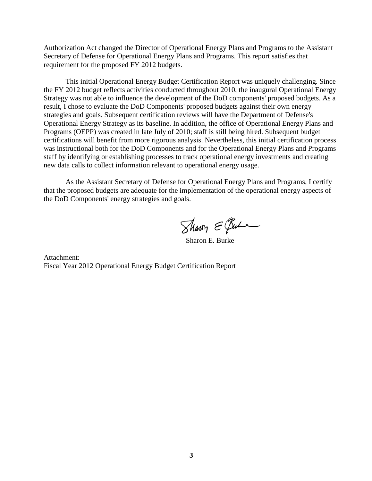Authorization Act changed the Director of Operational Energy Plans and Programs to the Assistant Secretary of Defense for Operational Energy Plans and Programs. This report satisfies that requirement for the proposed FY 2012 budgets.

This initial Operational Energy Budget Certification Report was uniquely challenging. Since the FY 2012 budget reflects activities conducted throughout 2010, the inaugural Operational Energy Strategy was not able to influence the development of the DoD components' proposed budgets. As a result, I chose to evaluate the DoD Components' proposed budgets against their own energy strategies and goals. Subsequent certification reviews will have the Department of Defense's Operational Energy Strategy as its baseline. In addition, the office of Operational Energy Plans and Programs (OEPP) was created in late July of 2010; staff is still being hired. Subsequent budget certifications will benefit from more rigorous analysis. Nevertheless, this initial certification process was instructional both for the DoD Components and for the Operational Energy Plans and Programs staff by identifying or establishing processes to track operational energy investments and creating new data calls to collect information relevant to operational energy usage.

As the Assistant Secretary of Defense for Operational Energy Plans and Programs, I certify that the proposed budgets are adequate for the implementation of the operational energy aspects of the DoD Components' energy strategies and goals.

Sharry E Bure

Sharon E. Burke

Attachment: Fiscal Year 2012 Operational Energy Budget Certification Report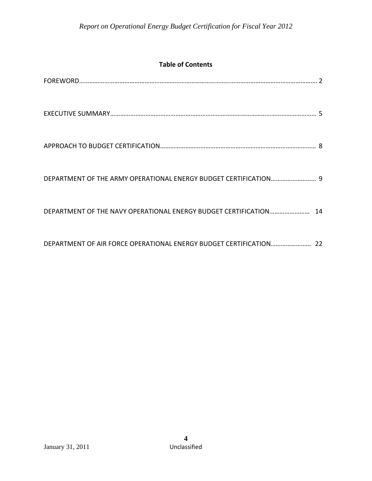# **Table of Contents**

| DEPARTMENT OF THE ARMY OPERATIONAL ENERGY BUDGET CERTIFICATION 9  |  |
|-------------------------------------------------------------------|--|
| DEPARTMENT OF THE NAVY OPERATIONAL ENERGY BUDGET CERTIFICATION 14 |  |
|                                                                   |  |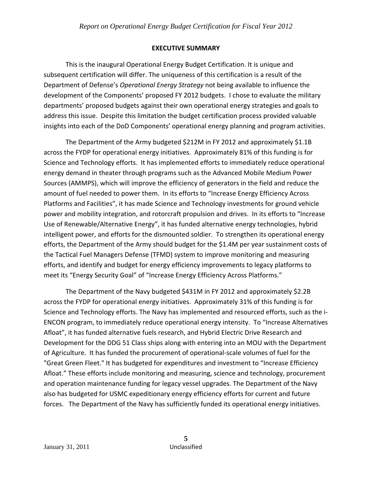# **EXECUTIVE SUMMARY**

This is the inaugural Operational Energy Budget Certification. It is unique and subsequent certification will differ. The uniqueness of this certification is a result of the Department of Defense's *Operational Energy Strategy* not being available to influence the development of the Components' proposed FY 2012 budgets. I chose to evaluate the military departments' proposed budgets against their own operational energy strategies and goals to address this issue. Despite this limitation the budget certification process provided valuable insights into each of the DoD Components' operational energy planning and program activities.

The Department of the Army budgeted \$212M in FY 2012 and approximately \$1.1B across the FYDP for operational energy initiatives. Approximately 81% of this funding is for Science and Technology efforts. It has implemented efforts to immediately reduce operational energy demand in theater through programs such as the Advanced Mobile Medium Power Sources (AMMPS), which will improve the efficiency of generators in the field and reduce the amount of fuel needed to power them. In its efforts to "Increase Energy Efficiency Across Platforms and Facilities", it has made Science and Technology investments for ground vehicle power and mobility integration, and rotorcraft propulsion and drives. In its efforts to "Increase Use of Renewable/Alternative Energy", it has funded alternative energy technologies, hybrid intelligent power, and efforts for the dismounted soldier. To strengthen its operational energy efforts, the Department of the Army should budget for the \$1.4M per year sustainment costs of the Tactical Fuel Managers Defense (TFMD) system to improve monitoring and measuring efforts, and identify and budget for energy efficiency improvements to legacy platforms to meet its "Energy Security Goal" of "Increase Energy Efficiency Across Platforms."

The Department of the Navy budgeted \$431M in FY 2012 and approximately \$2.2B across the FYDP for operational energy initiatives. Approximately 31% of this funding is for Science and Technology efforts. The Navy has implemented and resourced efforts, such as the i‐ ENCON program, to immediately reduce operational energy intensity. To "Increase Alternatives Afloat", it has funded alternative fuels research, and Hybrid Electric Drive Research and Development for the DDG 51 Class ships along with entering into an MOU with the Department of Agriculture. It has funded the procurement of operational‐scale volumes of fuel for the "Great Green Fleet." It has budgeted for expenditures and investment to "Increase Efficiency Afloat." These efforts include monitoring and measuring, science and technology, procurement and operation maintenance funding for legacy vessel upgrades. The Department of the Navy also has budgeted for USMC expeditionary energy efficiency efforts for current and future forces. The Department of the Navy has sufficiently funded its operational energy initiatives.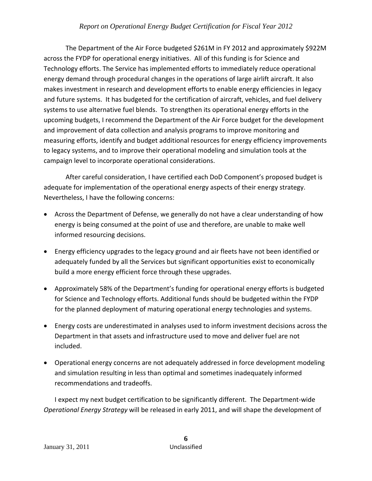The Department of the Air Force budgeted \$261M in FY 2012 and approximately \$922M across the FYDP for operational energy initiatives. All of this funding is for Science and Technology efforts. The Service has implemented efforts to immediately reduce operational energy demand through procedural changes in the operations of large airlift aircraft. It also makes investment in research and development efforts to enable energy efficiencies in legacy and future systems. It has budgeted for the certification of aircraft, vehicles, and fuel delivery systems to use alternative fuel blends. To strengthen its operational energy efforts in the upcoming budgets, I recommend the Department of the Air Force budget for the development and improvement of data collection and analysis programs to improve monitoring and measuring efforts, identify and budget additional resources for energy efficiency improvements to legacy systems, and to improve their operational modeling and simulation tools at the campaign level to incorporate operational considerations.

After careful consideration, I have certified each DoD Component's proposed budget is adequate for implementation of the operational energy aspects of their energy strategy. Nevertheless, I have the following concerns:

- Across the Department of Defense, we generally do not have a clear understanding of how energy is being consumed at the point of use and therefore, are unable to make well informed resourcing decisions.
- Energy efficiency upgrades to the legacy ground and air fleets have not been identified or adequately funded by all the Services but significant opportunities exist to economically build a more energy efficient force through these upgrades.
- Approximately 58% of the Department's funding for operational energy efforts is budgeted for Science and Technology efforts. Additional funds should be budgeted within the FYDP for the planned deployment of maturing operational energy technologies and systems.
- Energy costs are underestimated in analyses used to inform investment decisions across the Department in that assets and infrastructure used to move and deliver fuel are not included.
- Operational energy concerns are not adequately addressed in force development modeling and simulation resulting in less than optimal and sometimes inadequately informed recommendations and tradeoffs.

I expect my next budget certification to be significantly different. The Department‐wide *Operational Energy Strategy* will be released in early 2011, and will shape the development of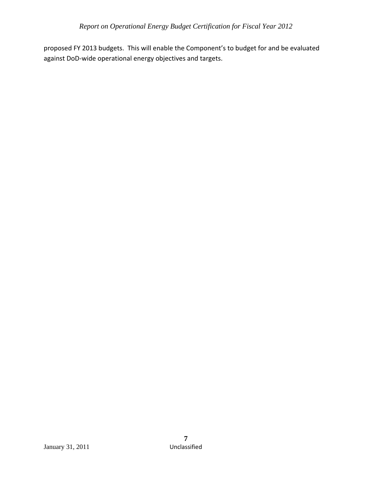proposed FY 2013 budgets. This will enable the Component's to budget for and be evaluated against DoD‐wide operational energy objectives and targets.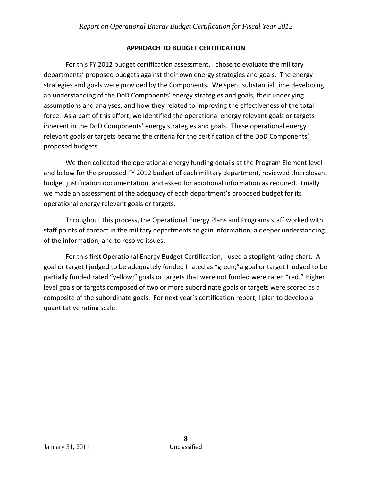# **APPROACH TO BUDGET CERTIFICATION**

For this FY 2012 budget certification assessment, I chose to evaluate the military departments' proposed budgets against their own energy strategies and goals. The energy strategies and goals were provided by the Components. We spent substantial time developing an understanding of the DoD Components' energy strategies and goals, their underlying assumptions and analyses, and how they related to improving the effectiveness of the total force. As a part of this effort, we identified the operational energy relevant goals or targets inherent in the DoD Components' energy strategies and goals. These operational energy relevant goals or targets became the criteria for the certification of the DoD Components' proposed budgets.

We then collected the operational energy funding details at the Program Element level and below for the proposed FY 2012 budget of each military department, reviewed the relevant budget justification documentation, and asked for additional information as required. Finally we made an assessment of the adequacy of each department's proposed budget for its operational energy relevant goals or targets.

Throughout this process, the Operational Energy Plans and Programs staff worked with staff points of contact in the military departments to gain information, a deeper understanding of the information, and to resolve issues.

For this first Operational Energy Budget Certification, I used a stoplight rating chart. A goal or target I judged to be adequately funded I rated as "green;"a goal or target I judged to be partially funded rated "yellow;" goals or targets that were not funded were rated "red." Higher level goals or targets composed of two or more subordinate goals or targets were scored as a composite of the subordinate goals. For next year's certification report, I plan to develop a quantitative rating scale.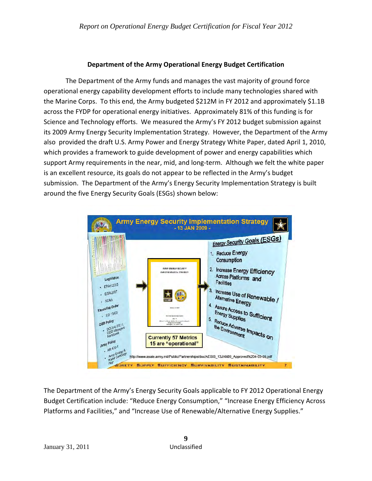# **Department of the Army Operational Energy Budget Certification**

The Department of the Army funds and manages the vast majority of ground force operational energy capability development efforts to include many technologies shared with the Marine Corps. To this end, the Army budgeted \$212M in FY 2012 and approximately \$1.1B across the FYDP for operational energy initiatives. Approximately 81% of this funding is for Science and Technology efforts. We measured the Army's FY 2012 budget submission against its 2009 Army Energy Security Implementation Strategy. However, the Department of the Army also provided the draft U.S. Army Power and Energy Strategy White Paper, dated April 1, 2010, which provides a framework to guide development of power and energy capabilities which support Army requirements in the near, mid, and long‐term. Although we felt the white paper is an excellent resource, its goals do not appear to be reflected in the Army's budget submission. The Department of the Army's Energy Security Implementation Strategy is built around the five Energy Security Goals (ESGs) shown below:



The Department of the Army's Energy Security Goals applicable to FY 2012 Operational Energy Budget Certification include: "Reduce Energy Consumption," "Increase Energy Efficiency Across Platforms and Facilities," and "Increase Use of Renewable/Alternative Energy Supplies."

**9**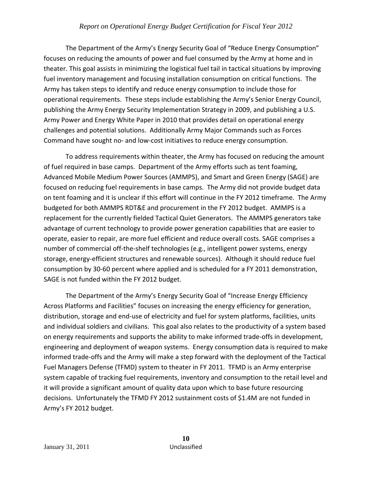The Department of the Army's Energy Security Goal of "Reduce Energy Consumption" focuses on reducing the amounts of power and fuel consumed by the Army at home and in theater. This goal assists in minimizing the logistical fuel tail in tactical situations by improving fuel inventory management and focusing installation consumption on critical functions. The Army has taken steps to identify and reduce energy consumption to include those for operational requirements. These steps include establishing the Army's Senior Energy Council, publishing the Army Energy Security Implementation Strategy in 2009, and publishing a U.S. Army Power and Energy White Paper in 2010 that provides detail on operational energy challenges and potential solutions. Additionally Army Major Commands such as Forces Command have sought no‐ and low‐cost initiatives to reduce energy consumption.

To address requirements within theater, the Army has focused on reducing the amount of fuel required in base camps. Department of the Army efforts such as tent foaming, Advanced Mobile Medium Power Sources (AMMPS), and Smart and Green Energy (SAGE) are focused on reducing fuel requirements in base camps. The Army did not provide budget data on tent foaming and it is unclear if this effort will continue in the FY 2012 timeframe. The Army budgeted for both AMMPS RDT&E and procurement in the FY 2012 budget. AMMPS is a replacement for the currently fielded Tactical Quiet Generators. The AMMPS generators take advantage of current technology to provide power generation capabilities that are easier to operate, easier to repair, are more fuel efficient and reduce overall costs. SAGE comprises a number of commercial off-the-shelf technologies (e.g., intelligent power systems, energy storage, energy‐efficient structures and renewable sources). Although it should reduce fuel consumption by 30‐60 percent where applied and is scheduled for a FY 2011 demonstration, SAGE is not funded within the FY 2012 budget.

The Department of the Army's Energy Security Goal of "Increase Energy Efficiency Across Platforms and Facilities" focuses on increasing the energy efficiency for generation, distribution, storage and end‐use of electricity and fuel for system platforms, facilities, units and individual soldiers and civilians. This goal also relates to the productivity of a system based on energy requirements and supports the ability to make informed trade‐offs in development, engineering and deployment of weapon systems. Energy consumption data is required to make informed trade‐offs and the Army will make a step forward with the deployment of the Tactical Fuel Managers Defense (TFMD) system to theater in FY 2011. TFMD is an Army enterprise system capable of tracking fuel requirements, inventory and consumption to the retail level and it will provide a significant amount of quality data upon which to base future resourcing decisions. Unfortunately the TFMD FY 2012 sustainment costs of \$1.4M are not funded in Army's FY 2012 budget.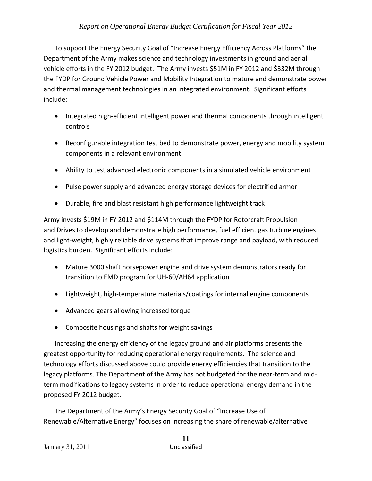To support the Energy Security Goal of "Increase Energy Efficiency Across Platforms" the Department of the Army makes science and technology investments in ground and aerial vehicle efforts in the FY 2012 budget. The Army invests \$51M in FY 2012 and \$332M through the FYDP for Ground Vehicle Power and Mobility Integration to mature and demonstrate power and thermal management technologies in an integrated environment. Significant efforts include:

- Integrated high‐efficient intelligent power and thermal components through intelligent controls
- Reconfigurable integration test bed to demonstrate power, energy and mobility system components in a relevant environment
- Ability to test advanced electronic components in a simulated vehicle environment
- Pulse power supply and advanced energy storage devices for electrified armor
- Durable, fire and blast resistant high performance lightweight track

Army invests \$19M in FY 2012 and \$114M through the FYDP for Rotorcraft Propulsion and Drives to develop and demonstrate high performance, fuel efficient gas turbine engines and light-weight, highly reliable drive systems that improve range and payload, with reduced logistics burden. Significant efforts include:

- Mature 3000 shaft horsepower engine and drive system demonstrators ready for transition to EMD program for UH‐60/AH64 application
- Lightweight, high-temperature materials/coatings for internal engine components
- Advanced gears allowing increased torque
- Composite housings and shafts for weight savings

Increasing the energy efficiency of the legacy ground and air platforms presents the greatest opportunity for reducing operational energy requirements. The science and technology efforts discussed above could provide energy efficiencies that transition to the legacy platforms. The Department of the Army has not budgeted for the near-term and midterm modifications to legacy systems in order to reduce operational energy demand in the proposed FY 2012 budget.

The Department of the Army's Energy Security Goal of "Increase Use of Renewable/Alternative Energy" focuses on increasing the share of renewable/alternative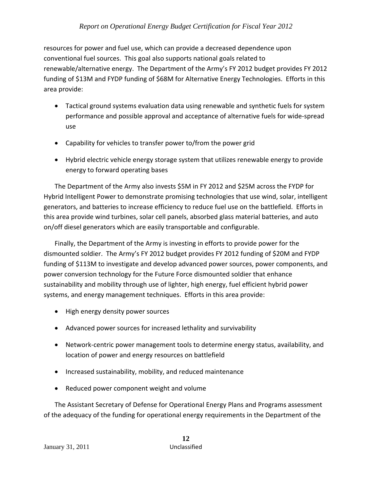resources for power and fuel use, which can provide a decreased dependence upon conventional fuel sources. This goal also supports national goals related to renewable/alternative energy. The Department of the Army's FY 2012 budget provides FY 2012 funding of \$13M and FYDP funding of \$68M for Alternative Energy Technologies. Efforts in this area provide:

- Tactical ground systems evaluation data using renewable and synthetic fuels for system performance and possible approval and acceptance of alternative fuels for wide‐spread use
- Capability for vehicles to transfer power to/from the power grid
- Hybrid electric vehicle energy storage system that utilizes renewable energy to provide energy to forward operating bases

The Department of the Army also invests \$5M in FY 2012 and \$25M across the FYDP for Hybrid Intelligent Power to demonstrate promising technologies that use wind, solar, intelligent generators, and batteries to increase efficiency to reduce fuel use on the battlefield. Efforts in this area provide wind turbines, solar cell panels, absorbed glass material batteries, and auto on/off diesel generators which are easily transportable and configurable.

Finally, the Department of the Army is investing in efforts to provide power for the dismounted soldier. The Army's FY 2012 budget provides FY 2012 funding of \$20M and FYDP funding of \$113M to investigate and develop advanced power sources, power components, and power conversion technology for the Future Force dismounted soldier that enhance sustainability and mobility through use of lighter, high energy, fuel efficient hybrid power systems, and energy management techniques. Efforts in this area provide:

- High energy density power sources
- Advanced power sources for increased lethality and survivability
- Network-centric power management tools to determine energy status, availability, and location of power and energy resources on battlefield
- Increased sustainability, mobility, and reduced maintenance
- Reduced power component weight and volume

The Assistant Secretary of Defense for Operational Energy Plans and Programs assessment of the adequacy of the funding for operational energy requirements in the Department of the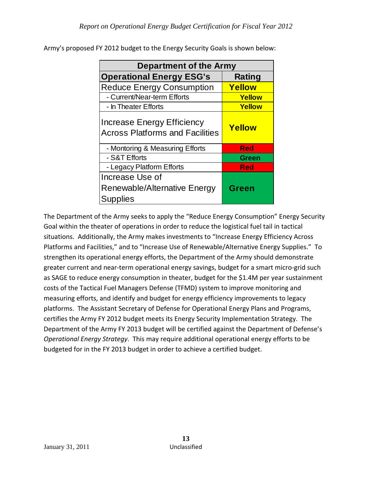| Department of the Army                                                      |               |  |  |  |
|-----------------------------------------------------------------------------|---------------|--|--|--|
| <b>Operational Energy ESG's</b>                                             | <b>Rating</b> |  |  |  |
| <b>Reduce Energy Consumption</b>                                            | Yellow        |  |  |  |
| - Current/Near-term Efforts                                                 | Yellow        |  |  |  |
| - In Theater Efforts                                                        | Yellow        |  |  |  |
| <b>Increase Energy Efficiency</b><br><b>Across Platforms and Facilities</b> | <b>Yellow</b> |  |  |  |
| - Montoring & Measuring Efforts                                             | <b>Red</b>    |  |  |  |
| - S&T Efforts                                                               | <b>Green</b>  |  |  |  |
| - Legacy Platform Efforts                                                   | <b>Red</b>    |  |  |  |
| Increase Use of<br>Renewable/Alternative Energy<br><b>Supplies</b>          | Green         |  |  |  |

Army's proposed FY 2012 budget to the Energy Security Goals is shown below:

The Department of the Army seeks to apply the "Reduce Energy Consumption" Energy Security Goal within the theater of operations in order to reduce the logistical fuel tail in tactical situations. Additionally, the Army makes investments to "Increase Energy Efficiency Across Platforms and Facilities," and to "Increase Use of Renewable/Alternative Energy Supplies." To strengthen its operational energy efforts, the Department of the Army should demonstrate greater current and near-term operational energy savings, budget for a smart micro-grid such as SAGE to reduce energy consumption in theater, budget for the \$1.4M per year sustainment costs of the Tactical Fuel Managers Defense (TFMD) system to improve monitoring and measuring efforts, and identify and budget for energy efficiency improvements to legacy platforms. The Assistant Secretary of Defense for Operational Energy Plans and Programs, certifies the Army FY 2012 budget meets its Energy Security Implementation Strategy. The Department of the Army FY 2013 budget will be certified against the Department of Defense's *Operational Energy Strategy*. This may require additional operational energy efforts to be budgeted for in the FY 2013 budget in order to achieve a certified budget.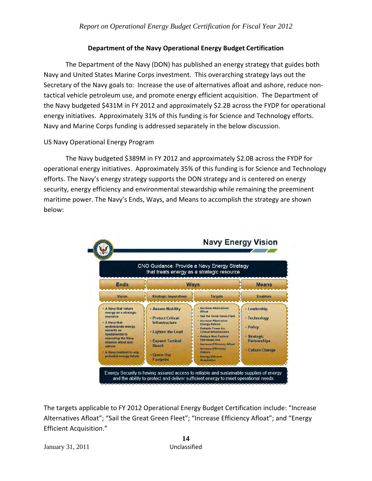# **Department of the Navy Operational Energy Budget Certification**

The Department of the Navy (DON) has published an energy strategy that guides both Navy and United States Marine Corps investment. This overarching strategy lays out the Secretary of the Navy goals to: Increase the use of alternatives afloat and ashore, reduce non‐ tactical vehicle petroleum use, and promote energy efficient acquisition. The Department of the Navy budgeted \$431M in FY 2012 and approximately \$2.2B across the FYDP for operational energy initiatives. Approximately 31% of this funding is for Science and Technology efforts. Navy and Marine Corps funding is addressed separately in the below discussion.

# US Navy Operational Energy Program

The Navy budgeted \$389M in FY 2012 and approximately \$2.0B across the FYDP for operational energy initiatives. Approximately 35% of this funding is for Science and Technology efforts. The Navy's energy strategy supports the DON strategy and is centered on energy security, energy efficiency and environmental stewardship while remaining the preeminent maritime power. The Navy's Ends, Ways, and Means to accomplish the strategy are shown below:



The targets applicable to FY 2012 Operational Energy Budget Certification include: "Increase Alternatives Afloat"; "Sail the Great Green Fleet"; "Increase Efficiency Afloat"; and "Energy Efficient Acquisition."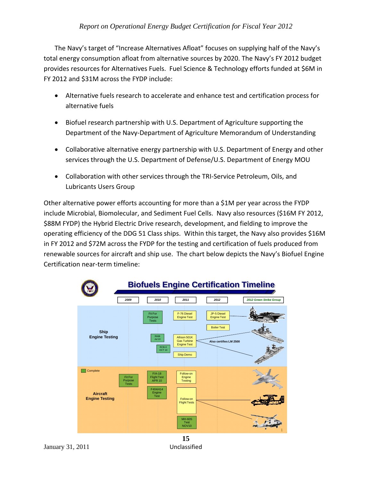The Navy's target of "Increase Alternatives Afloat" focuses on supplying half of the Navy's total energy consumption afloat from alternative sources by 2020. The Navy's FY 2012 budget provides resources for Alternatives Fuels. Fuel Science & Technology efforts funded at \$6M in FY 2012 and \$31M across the FYDP include:

- Alternative fuels research to accelerate and enhance test and certification process for alternative fuels
- Biofuel research partnership with U.S. Department of Agriculture supporting the Department of the Navy‐Department of Agriculture Memorandum of Understanding
- Collaborative alternative energy partnership with U.S. Department of Energy and other services through the U.S. Department of Defense/U.S. Department of Energy MOU
- Collaboration with other services through the TRI‐Service Petroleum, Oils, and Lubricants Users Group

Other alternative power efforts accounting for more than a \$1M per year across the FYDP include Microbial, Biomolecular, and Sediment Fuel Cells. Navy also resources (\$16M FY 2012, \$88M FYDP) the Hybrid Electric Drive research, development, and fielding to improve the operating efficiency of the DDG 51 Class ships. Within this target, the Navy also provides \$16M in FY 2012 and \$72M across the FYDP for the testing and certification of fuels produced from renewable sources for aircraft and ship use. The chart below depicts the Navy's Biofuel Engine Certification near‐term timeline:

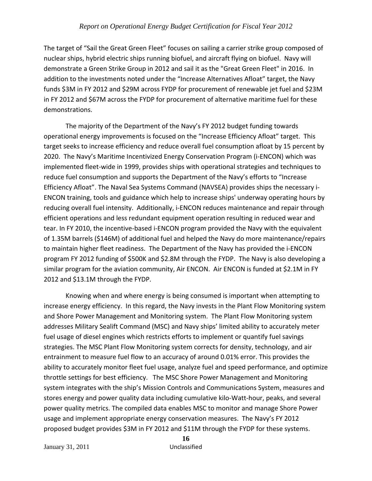The target of "Sail the Great Green Fleet" focuses on sailing a carrier strike group composed of nuclear ships, hybrid electric ships running biofuel, and aircraft flying on biofuel. Navy will demonstrate a Green Strike Group in 2012 and sail it as the "Great Green Fleet" in 2016. In addition to the investments noted under the "Increase Alternatives Afloat" target, the Navy funds \$3M in FY 2012 and \$29M across FYDP for procurement of renewable jet fuel and \$23M in FY 2012 and \$67M across the FYDP for procurement of alternative maritime fuel for these demonstrations.

The majority of the Department of the Navy's FY 2012 budget funding towards operational energy improvements is focused on the "Increase Efficiency Afloat" target. This target seeks to increase efficiency and reduce overall fuel consumption afloat by 15 percent by 2020. The Navy's Maritime Incentivized Energy Conservation Program (i‐ENCON) which was implemented fleet‐wide in 1999, provides ships with operational strategies and techniques to reduce fuel consumption and supports the Department of the Navy's efforts to "Increase Efficiency Afloat". The Naval Sea Systems Command (NAVSEA) provides ships the necessary i‐ ENCON training, tools and guidance which help to increase ships' underway operating hours by reducing overall fuel intensity. Additionally, i‐ENCON reduces maintenance and repair through efficient operations and less redundant equipment operation resulting in reduced wear and tear. In FY 2010, the incentive‐based i‐ENCON program provided the Navy with the equivalent of 1.35M barrels (\$146M) of additional fuel and helped the Navy do more maintenance/repairs to maintain higher fleet readiness. The Department of the Navy has provided the i‐ENCON program FY 2012 funding of \$500K and \$2.8M through the FYDP. The Navy is also developing a similar program for the aviation community, Air ENCON. Air ENCON is funded at \$2.1M in FY 2012 and \$13.1M through the FYDP.

Knowing when and where energy is being consumed is important when attempting to increase energy efficiency. In this regard, the Navy invests in the Plant Flow Monitoring system and Shore Power Management and Monitoring system. The Plant Flow Monitoring system addresses Military Sealift Command (MSC) and Navy ships' limited ability to accurately meter fuel usage of diesel engines which restricts efforts to implement or quantify fuel savings strategies. The MSC Plant Flow Monitoring system corrects for density, technology, and air entrainment to measure fuel flow to an accuracy of around 0.01% error. This provides the ability to accurately monitor fleet fuel usage, analyze fuel and speed performance, and optimize throttle settings for best efficiency. The MSC Shore Power Management and Monitoring system integrates with the ship's Mission Controls and Communications System, measures and stores energy and power quality data including cumulative kilo‐Watt‐hour, peaks, and several power quality metrics. The compiled data enables MSC to monitor and manage Shore Power usage and implement appropriate energy conservation measures. The Navy's FY 2012 proposed budget provides \$3M in FY 2012 and \$11M through the FYDP for these systems.

January 31, 2011 Unclassified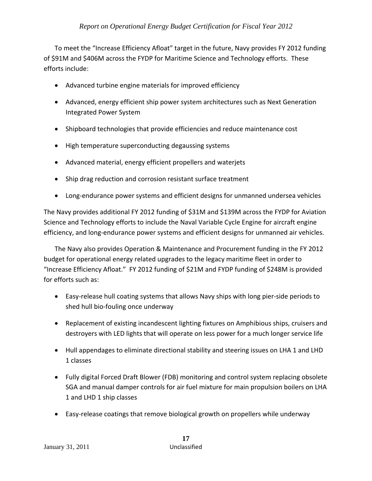To meet the "Increase Efficiency Afloat" target in the future, Navy provides FY 2012 funding of \$91M and \$406M across the FYDP for Maritime Science and Technology efforts. These efforts include:

- Advanced turbine engine materials for improved efficiency
- Advanced, energy efficient ship power system architectures such as Next Generation Integrated Power System
- Shipboard technologies that provide efficiencies and reduce maintenance cost
- High temperature superconducting degaussing systems
- Advanced material, energy efficient propellers and waterjets
- Ship drag reduction and corrosion resistant surface treatment
- Long-endurance power systems and efficient designs for unmanned undersea vehicles

The Navy provides additional FY 2012 funding of \$31M and \$139M across the FYDP for Aviation Science and Technology efforts to include the Naval Variable Cycle Engine for aircraft engine efficiency, and long‐endurance power systems and efficient designs for unmanned air vehicles.

The Navy also provides Operation & Maintenance and Procurement funding in the FY 2012 budget for operational energy related upgrades to the legacy maritime fleet in order to "Increase Efficiency Afloat." FY 2012 funding of \$21M and FYDP funding of \$248M is provided for efforts such as:

- Easy‐release hull coating systems that allows Navy ships with long pier‐side periods to shed hull bio‐fouling once underway
- Replacement of existing incandescent lighting fixtures on Amphibious ships, cruisers and destroyers with LED lights that will operate on less power for a much longer service life
- Hull appendages to eliminate directional stability and steering issues on LHA 1 and LHD 1 classes
- Fully digital Forced Draft Blower (FDB) monitoring and control system replacing obsolete SGA and manual damper controls for air fuel mixture for main propulsion boilers on LHA 1 and LHD 1 ship classes
- Easy‐release coatings that remove biological growth on propellers while underway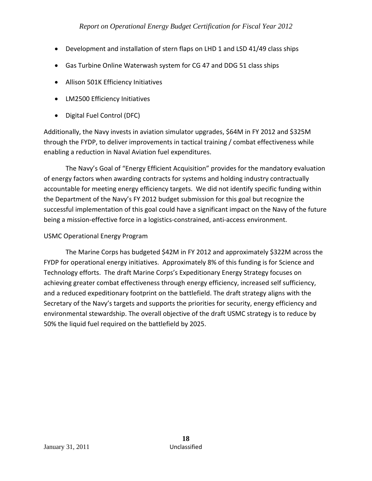- Development and installation of stern flaps on LHD 1 and LSD 41/49 class ships
- Gas Turbine Online Waterwash system for CG 47 and DDG 51 class ships
- Allison 501K Efficiency Initiatives
- LM2500 Efficiency Initiatives
- Digital Fuel Control (DFC)

Additionally, the Navy invests in aviation simulator upgrades, \$64M in FY 2012 and \$325M through the FYDP, to deliver improvements in tactical training / combat effectiveness while enabling a reduction in Naval Aviation fuel expenditures.

The Navy's Goal of "Energy Efficient Acquisition" provides for the mandatory evaluation of energy factors when awarding contracts for systems and holding industry contractually accountable for meeting energy efficiency targets. We did not identify specific funding within the Department of the Navy's FY 2012 budget submission for this goal but recognize the successful implementation of this goal could have a significant impact on the Navy of the future being a mission‐effective force in a logistics‐constrained, anti‐access environment.

# USMC Operational Energy Program

The Marine Corps has budgeted \$42M in FY 2012 and approximately \$322M across the FYDP for operational energy initiatives. Approximately 8% of this funding is for Science and Technology efforts. The draft Marine Corps's Expeditionary Energy Strategy focuses on achieving greater combat effectiveness through energy efficiency, increased self sufficiency, and a reduced expeditionary footprint on the battlefield. The draft strategy aligns with the Secretary of the Navy's targets and supports the priorities for security, energy efficiency and environmental stewardship. The overall objective of the draft USMC strategy is to reduce by 50% the liquid fuel required on the battlefield by 2025.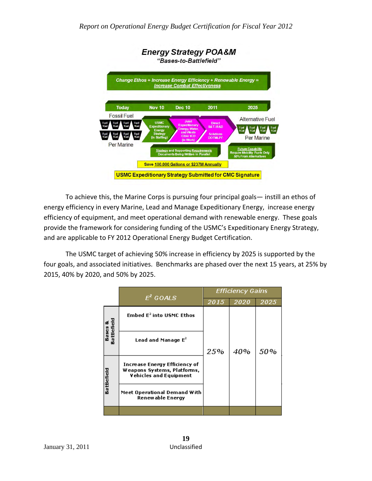

To achieve this, the Marine Corps is pursuing four principal goals— instill an ethos of energy efficiency in every Marine, Lead and Manage Expeditionary Energy, increase energy efficiency of equipment, and meet operational demand with renewable energy. These goals provide the framework for considering funding of the USMC's Expeditionary Energy Strategy, and are applicable to FY 2012 Operational Energy Budget Certification.

The USMC target of achieving 50% increase in efficiency by 2025 is supported by the four goals, and associated initiatives. Benchmarks are phased over the next 15 years, at 25% by 2015, 40% by 2020, and 50% by 2025.

|                        | $E^2$ GOALS                                                                                   | <b>Efficiency Gains</b> |      |      |  |
|------------------------|-----------------------------------------------------------------------------------------------|-------------------------|------|------|--|
|                        |                                                                                               | 2015                    | 2020 | 2025 |  |
| Bases &<br>Battlefield | Embed $E^2$ into USMC Ethos                                                                   |                         |      |      |  |
|                        | Lead and Manage $E^2$                                                                         | 25%                     | 40%  | 50%  |  |
| Battlefield            | Increase Energy Efficiency of<br>Weapons Systems, Platforms,<br><b>Vehicles and Equipment</b> |                         |      |      |  |
|                        | Meet Operational Demand With<br>Renewable Energy                                              |                         |      |      |  |
|                        |                                                                                               |                         |      |      |  |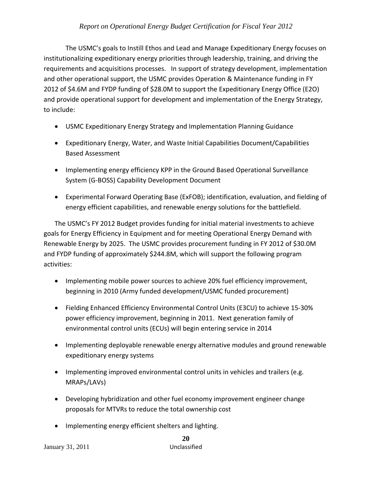The USMC's goals to Instill Ethos and Lead and Manage Expeditionary Energy focuses on institutionalizing expeditionary energy priorities through leadership, training, and driving the requirements and acquisitions processes. In support of strategy development, implementation and other operational support, the USMC provides Operation & Maintenance funding in FY 2012 of \$4.6M and FYDP funding of \$28.0M to support the Expeditionary Energy Office (E2O) and provide operational support for development and implementation of the Energy Strategy, to include:

- USMC Expeditionary Energy Strategy and Implementation Planning Guidance
- Expeditionary Energy, Water, and Waste Initial Capabilities Document/Capabilities Based Assessment
- Implementing energy efficiency KPP in the Ground Based Operational Surveillance System (G‐BOSS) Capability Development Document
- Experimental Forward Operating Base (ExFOB); identification, evaluation, and fielding of energy efficient capabilities, and renewable energy solutions for the battlefield.

The USMC's FY 2012 Budget provides funding for initial material investments to achieve goals for Energy Efficiency in Equipment and for meeting Operational Energy Demand with Renewable Energy by 2025. The USMC provides procurement funding in FY 2012 of \$30.0M and FYDP funding of approximately \$244.8M, which will support the following program activities:

- Implementing mobile power sources to achieve 20% fuel efficiency improvement, beginning in 2010 (Army funded development/USMC funded procurement)
- Fielding Enhanced Efficiency Environmental Control Units (E3CU) to achieve 15‐30% power efficiency improvement, beginning in 2011. Next generation family of environmental control units (ECUs) will begin entering service in 2014
- Implementing deployable renewable energy alternative modules and ground renewable expeditionary energy systems
- Implementing improved environmental control units in vehicles and trailers (e.g. MRAPs/LAVs)
- Developing hybridization and other fuel economy improvement engineer change proposals for MTVRs to reduce the total ownership cost
- Implementing energy efficient shelters and lighting.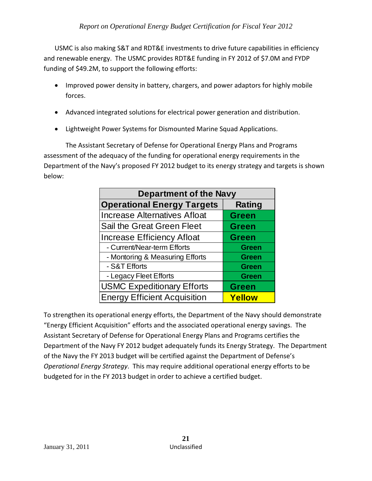USMC is also making S&T and RDT&E investments to drive future capabilities in efficiency and renewable energy. The USMC provides RDT&E funding in FY 2012 of \$7.0M and FYDP funding of \$49.2M, to support the following efforts:

- Improved power density in battery, chargers, and power adaptors for highly mobile forces.
- Advanced integrated solutions for electrical power generation and distribution.
- Lightweight Power Systems for Dismounted Marine Squad Applications.

The Assistant Secretary of Defense for Operational Energy Plans and Programs assessment of the adequacy of the funding for operational energy requirements in the Department of the Navy's proposed FY 2012 budget to its energy strategy and targets is shown below:

| <b>Department of the Navy</b>       |               |  |  |  |
|-------------------------------------|---------------|--|--|--|
| <b>Operational Energy Targets</b>   | <b>Rating</b> |  |  |  |
| <b>Increase Alternatives Afloat</b> | <b>Green</b>  |  |  |  |
| Sail the Great Green Fleet          | <b>Green</b>  |  |  |  |
| <b>Increase Efficiency Afloat</b>   | <b>Green</b>  |  |  |  |
| - Current/Near-term Efforts         | <b>Green</b>  |  |  |  |
| - Montoring & Measuring Efforts     | <b>Green</b>  |  |  |  |
| - S&T Efforts                       | <b>Green</b>  |  |  |  |
| - Legacy Fleet Efforts              | <b>Green</b>  |  |  |  |
| <b>USMC Expeditionary Efforts</b>   | <b>Green</b>  |  |  |  |
| <b>Energy Efficient Acquisition</b> | Yellow        |  |  |  |

To strengthen its operational energy efforts, the Department of the Navy should demonstrate "Energy Efficient Acquisition" efforts and the associated operational energy savings. The Assistant Secretary of Defense for Operational Energy Plans and Programs certifies the Department of the Navy FY 2012 budget adequately funds its Energy Strategy. The Department of the Navy the FY 2013 budget will be certified against the Department of Defense's *Operational Energy Strategy*. This may require additional operational energy efforts to be budgeted for in the FY 2013 budget in order to achieve a certified budget.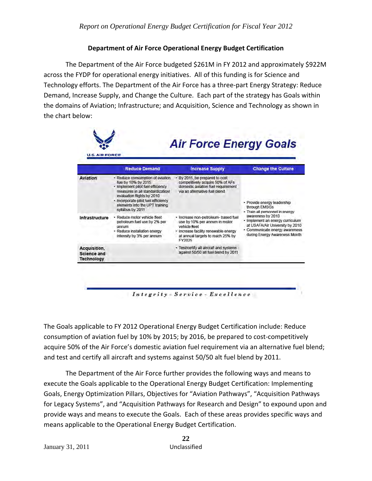# **Department of Air Force Operational Energy Budget Certification**

The Department of the Air Force budgeted \$261M in FY 2012 and approximately \$922M across the FYDP for operational energy initiatives. All of this funding is for Science and Technology efforts. The Department of the Air Force has a three-part Energy Strategy: Reduce Demand, Increase Supply, and Change the Culture. Each part of the strategy has Goals within the domains of Aviation; Infrastructure; and Acquisition, Science and Technology as shown in the chart below:

|                                                         | <b>Reduce Demand</b>                                                                                                                                                                                                                                        | <b>Increase Supply</b>                                                                                                                                                        | <b>Change the Culture</b>                                                                                                                                   |
|---------------------------------------------------------|-------------------------------------------------------------------------------------------------------------------------------------------------------------------------------------------------------------------------------------------------------------|-------------------------------------------------------------------------------------------------------------------------------------------------------------------------------|-------------------------------------------------------------------------------------------------------------------------------------------------------------|
| Aviation                                                | · Reduce consumption of aviation<br>fuel by 10% by 2015<br>· Implement pilot fuel efficiency<br>measures in all standardization/<br>evaluation flights by 2010<br>- Incorporate pilot fuel efficiency<br>elements into the UPT training<br>syllabus by 2011 | By 2016, he prepared to cost<br>competitively acquire 50% of AFs<br>domestic aviation fuel requirement<br>via an alternative fuel blend                                       | · Provide energy leadership<br>through EMSGs<br>· Train all personnel in energy                                                                             |
| Infrastructure                                          | · Reduce motor vehicle fleet<br>petroleum fuel use by 2% per<br>annum<br>· Reduce installation energy<br>intensity by 3% per annum                                                                                                                          | · Increase non-petroleum- based fuel<br>use by 10% per annum in motor<br>vehicle fleet<br>- Increase facility renewable energy<br>at annual targets to reach 25% by<br>FY2025 | awareness by 2010<br>· Implement an energy curriculum<br>at USAFA/Air University by 2010<br>· Communicate energy awareness<br>during Energy Awareness Month |
| Acquisition,<br><b>Science and</b><br><b>Technology</b> |                                                                                                                                                                                                                                                             | · Test/certify all aircraft and systems<br>against 50/50 all fuel blend by 2011                                                                                               |                                                                                                                                                             |

The Goals applicable to FY 2012 Operational Energy Budget Certification include: Reduce consumption of aviation fuel by 10% by 2015; by 2016, be prepared to cost-competitively acquire 50% of the Air Force's domestic aviation fuel requirement via an alternative fuel blend; and test and certify all aircraft and systems against 50/50 alt fuel blend by 2011.

The Department of the Air Force further provides the following ways and means to execute the Goals applicable to the Operational Energy Budget Certification: Implementing Goals, Energy Optimization Pillars, Objectives for "Aviation Pathways", "Acquisition Pathways for Legacy Systems", and "Acquisition Pathways for Research and Design" to expound upon and provide ways and means to execute the Goals. Each of these areas provides specific ways and means applicable to the Operational Energy Budget Certification.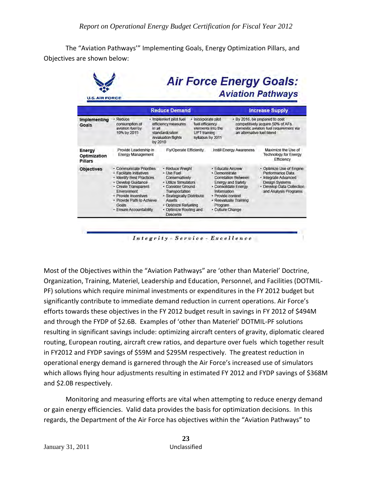The "Aviation Pathways'" Implementing Goals, Energy Optimization Pillars, and Objectives are shown below:

| <b>U.S. AIR FORCE</b>                    |                                                                                                                                                                                                                                         |                                                                                                                                                                                                                             |                                                                                                                                                                                                                  | <b>Aviation Pathways</b>                                                                                                                            |
|------------------------------------------|-----------------------------------------------------------------------------------------------------------------------------------------------------------------------------------------------------------------------------------------|-----------------------------------------------------------------------------------------------------------------------------------------------------------------------------------------------------------------------------|------------------------------------------------------------------------------------------------------------------------------------------------------------------------------------------------------------------|-----------------------------------------------------------------------------------------------------------------------------------------------------|
|                                          |                                                                                                                                                                                                                                         | <b>Reduce Demand</b>                                                                                                                                                                                                        |                                                                                                                                                                                                                  | <b>Increase Supply</b>                                                                                                                              |
| <b>Implementing</b><br>Goals             | · Reduce<br>consumption of<br>aviation fuel by<br>in all<br>10% by 2015                                                                                                                                                                 | · Implement pilot fuel<br>efficiency measures<br>standardization<br>UPT training<br>/evaluation flights<br>by 2010                                                                                                          | · Incorporate pilot<br>fuel efficiency<br>elements into the<br>an alternative fuel blend<br>syllabus by 2011                                                                                                     | · By 2016, be prepared to cost<br>competitively acquire 50% of AFs.<br>domestic aviation fuel requirement via                                       |
| Energy<br>Optimization<br><b>Pillars</b> | Provide Leadership in<br><b>Energy Management</b>                                                                                                                                                                                       | Fly/Operate Efficiently                                                                                                                                                                                                     | <b>Instill Energy Awareness</b>                                                                                                                                                                                  | Maximize the Use of<br><b>Technology for Energy</b><br>Efficiency                                                                                   |
| <b>Objectives</b>                        | · Communicate Priorities<br>· Facilitate Initiatives<br>· Identify Best Practices<br>· Develop Guidance<br>· Create Transparent<br>Environment<br>· Provide Incentives<br>· Provide Path to Achieve<br>Goals<br>· Ensure Accountability | · Reduce Weight<br>· Use Fuel<br>Conservatively<br>· Utilize Simulators<br>· Consider Ground<br>Transportation<br>· Strategically Distribute<br><b>Assets</b><br>· Optimize Refueling<br>· Optimize Routing and<br>Descents | · Educate Aircrew<br>· Demonstrate<br><b>Correlation Between</b><br><b>Energy and Safety</b><br>· Consolidate Energy<br>Information<br>· Provide context<br>· Reevaluate Training<br>Program<br>· Culture Change | • Optimize Use of Engine<br>Performance Data<br>· Integrate Advanced<br><b>Design Systems</b><br>· Develop Data Collection<br>and Analysis Programs |

Most of the Objectives within the "Aviation Pathways" are 'other than Materiel' Doctrine, Organization, Training, Materiel, Leadership and Education, Personnel, and Facilities (DOTMIL‐ PF) solutions which require minimal investments or expenditures in the FY 2012 budget but significantly contribute to immediate demand reduction in current operations. Air Force's efforts towards these objectives in the FY 2012 budget result in savings in FY 2012 of \$494M and through the FYDP of \$2.6B. Examples of 'other than Materiel' DOTMIL‐PF solutions resulting in significant savings include: optimizing aircraft centers of gravity, diplomatic cleared routing, European routing, aircraft crew ratios, and departure over fuels which together result in FY2012 and FYDP savings of \$59M and \$295M respectively. The greatest reduction in operational energy demand is garnered through the Air Force's increased use of simulators which allows flying hour adjustments resulting in estimated FY 2012 and FYDP savings of \$368M and \$2.0B respectively.

Monitoring and measuring efforts are vital when attempting to reduce energy demand or gain energy efficiencies. Valid data provides the basis for optimization decisions. In this regards, the Department of the Air Force has objectives within the "Aviation Pathways" to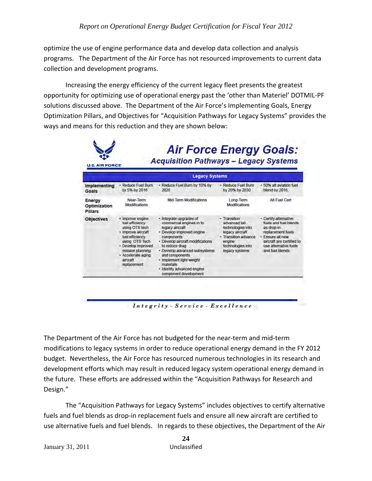optimize the use of engine performance data and develop data collection and analysis programs. The Department of the Air Force has not resourced improvements to current data collection and development programs.

Increasing the energy efficiency of the current legacy fleet presents the greatest opportunity for optimizing use of operational energy past the 'other than Materiel' DOTMIL‐PF solutions discussed above. The Department of the Air Force's Implementing Goals, Energy Optimization Pillars, and Objectives for "Acquisition Pathways for Legacy Systems" provides the ways and means for this reduction and they are shown below:

|                                   |                                                                                                                                                                                                             | <b>Legacy Systems</b>                                                                                                                                                                                                                                                                                                      |                                                                                                                                               |                                                                                                                                                                                |
|-----------------------------------|-------------------------------------------------------------------------------------------------------------------------------------------------------------------------------------------------------------|----------------------------------------------------------------------------------------------------------------------------------------------------------------------------------------------------------------------------------------------------------------------------------------------------------------------------|-----------------------------------------------------------------------------------------------------------------------------------------------|--------------------------------------------------------------------------------------------------------------------------------------------------------------------------------|
| <b>Implementing</b><br>Goals      | · Reduce Fuel Burn<br>by 5% by 2016                                                                                                                                                                         | · Reduce Fuel Burn by 10% by<br>2020                                                                                                                                                                                                                                                                                       | · Reduce Fuel Burn<br>by 20% by 2030                                                                                                          | · 50% alt aviation fuel<br>blend by 2016.                                                                                                                                      |
| Energy<br>Optimization<br>Pillars | Near-Term<br><b>Modifications</b>                                                                                                                                                                           | Mid-Term Modifications                                                                                                                                                                                                                                                                                                     | Long-Term<br><b>Modifications</b>                                                                                                             | Alt Fuel Cert                                                                                                                                                                  |
| <b>Objectives</b>                 | · Improve engine<br>fuel efficiency<br>using OTS tech<br>· Improve aircraft<br>fuel efficiency<br>using OTS Tech<br>- Develop improved<br>mission planning<br>· Accelerate aging<br>aircraft<br>replacement | · Integrate upgrades of<br>commercial engines in to<br>legacy aircraft<br>· Develop improved engine<br>components<br>· Develop aircraft modifications<br>to reduce drag<br>· Develop advanced subsystems<br>and components<br>· Implement light-weight<br>materials<br>· Identify advanced engine<br>component development | · Transition<br>advanced lab<br>technologies into<br>legacy aircraft<br>· Transition advance<br>engine<br>technologies into<br>legacy systems | - Certify alternative<br>fuels and fuel blends<br>as drop-in<br>replacement fuels<br>· Ensure all new<br>aircraft are certified to<br>use alternative fuels<br>and fuel blends |

Integrity - Service - Excellence

The Department of the Air Force has not budgeted for the near‐term and mid‐term modifications to legacy systems in order to reduce operational energy demand in the FY 2012 budget. Nevertheless, the Air Force has resourced numerous technologies in its research and development efforts which may result in reduced legacy system operational energy demand in the future. These efforts are addressed within the "Acquisition Pathways for Research and Design."

The "Acquisition Pathways for Legacy Systems" includes objectives to certify alternative fuels and fuel blends as drop‐in replacement fuels and ensure all new aircraft are certified to use alternative fuels and fuel blends. In regards to these objectives, the Department of the Air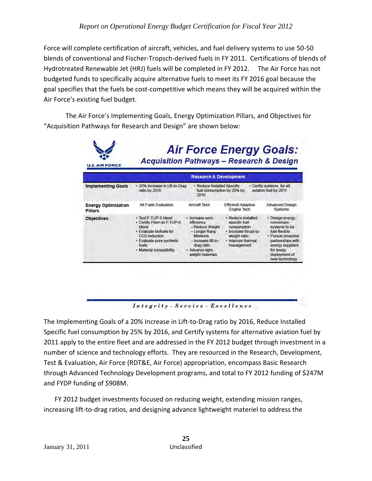Force will complete certification of aircraft, vehicles, and fuel delivery systems to use 50‐50 blends of conventional and Fischer‐Tropsch‐derived fuels in FY 2011. Certifications of blends of Hydrotreated Renewable Jet (HRJ) fuels will be completed in FY 2012. The Air Force has not budgeted funds to specifically acquire alternative fuels to meet its FY 2016 goal because the goal specifies that the fuels be cost‐competitive which means they will be acquired within the Air Force's existing fuel budget.

The Air Force's Implementing Goals, Energy Optimization Pillars, and Objectives for "Acquisition Pathways for Research and Design" are shown below:

|                                       |                                                                                                                                                                                         | <b>Research &amp; Development</b>                                                                                                                               |                                                                                                                                |                                                                                                                                                                                 |
|---------------------------------------|-----------------------------------------------------------------------------------------------------------------------------------------------------------------------------------------|-----------------------------------------------------------------------------------------------------------------------------------------------------------------|--------------------------------------------------------------------------------------------------------------------------------|---------------------------------------------------------------------------------------------------------------------------------------------------------------------------------|
| <b>Implementing Goals</b>             | · 20% Increase in Lift-to-Drag<br>ratio by 2016                                                                                                                                         | · Reduce Installed Specific<br>fuel consumption by 25% by<br>2016                                                                                               |                                                                                                                                | - Certify systems for alt<br>aviation fuel by 2011                                                                                                                              |
| <b>Energy Optimization</b><br>Pillars | Alt Fuels Evaluation                                                                                                                                                                    | Aircraft Tech                                                                                                                                                   | <b>Efficient/Adaptive</b><br>Engine Tech                                                                                       | <b>Advanced Design</b><br>Systems                                                                                                                                               |
| <b>Objectives</b>                     | · Test F-T/JP-8 blend<br>• Certify Fleet on F-T/JP-8<br>blend<br>· Evaluate biofuels for<br>CO <sub>2</sub> reduction<br>· Evaluate pure synthetic<br>fuels<br>· Material compatibility | Increase aero<br>efficiency<br>- Reduce Weight<br>- Longer Rang<br><b>Missions</b><br>- Increase lift-to-<br>drag ratio<br>· Advance light-<br>weight materials | · Reduce installed<br>specific fuel<br>consumption<br>· Increase thrust-to-<br>weight ratio<br>· Improve thermal<br>management | · Design energy<br>conversion<br>systems to be<br>fuel-flexible<br>· Pursue proactive<br>partnerships with<br>energy suppliers<br>for timely<br>deployment of<br>new technology |

Integrity - Service - Excellence

The Implementing Goals of a 20% Increase in Lift‐to‐Drag ratio by 2016, Reduce Installed Specific fuel consumption by 25% by 2016, and Certify systems for alternative aviation fuel by 2011 apply to the entire fleet and are addressed in the FY 2012 budget through investment in a number of science and technology efforts. They are resourced in the Research, Development, Test & Evaluation, Air Force (RDT&E, Air Force) appropriation, encompass Basic Research through Advanced Technology Development programs, and total to FY 2012 funding of \$247M and FYDP funding of \$908M.

FY 2012 budget investments focused on reducing weight, extending mission ranges, increasing lift‐to‐drag ratios, and designing advance lightweight materiel to address the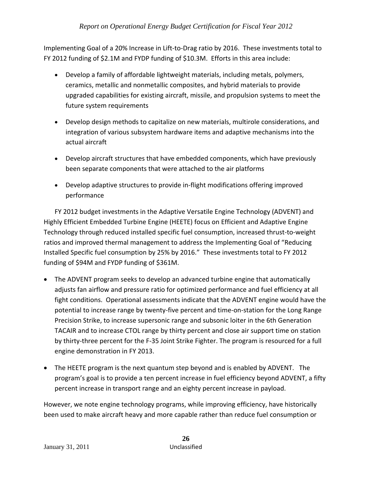Implementing Goal of a 20% Increase in Lift-to-Drag ratio by 2016. These investments total to FY 2012 funding of \$2.1M and FYDP funding of \$10.3M. Efforts in this area include:

- Develop a family of affordable lightweight materials, including metals, polymers, ceramics, metallic and nonmetallic composites, and hybrid materials to provide upgraded capabilities for existing aircraft, missile, and propulsion systems to meet the future system requirements
- Develop design methods to capitalize on new materials, multirole considerations, and integration of various subsystem hardware items and adaptive mechanisms into the actual aircraft
- Develop aircraft structures that have embedded components, which have previously been separate components that were attached to the air platforms
- Develop adaptive structures to provide in-flight modifications offering improved performance

FY 2012 budget investments in the Adaptive Versatile Engine Technology (ADVENT) and Highly Efficient Embedded Turbine Engine (HEETE) focus on Efficient and Adaptive Engine Technology through reduced installed specific fuel consumption, increased thrust‐to‐weight ratios and improved thermal management to address the Implementing Goal of "Reducing Installed Specific fuel consumption by 25% by 2016." These investments total to FY 2012 funding of \$94M and FYDP funding of \$361M.

- The ADVENT program seeks to develop an advanced turbine engine that automatically adjusts fan airflow and pressure ratio for optimized performance and fuel efficiency at all fight conditions. Operational assessments indicate that the ADVENT engine would have the potential to increase range by twenty‐five percent and time‐on‐station for the Long Range Precision Strike, to increase supersonic range and subsonic loiter in the 6th Generation TACAIR and to increase CTOL range by thirty percent and close air support time on station by thirty-three percent for the F-35 Joint Strike Fighter. The program is resourced for a full engine demonstration in FY 2013.
- The HEETE program is the next quantum step beyond and is enabled by ADVENT. The program's goal is to provide a ten percent increase in fuel efficiency beyond ADVENT, a fifty percent increase in transport range and an eighty percent increase in payload.

However, we note engine technology programs, while improving efficiency, have historically been used to make aircraft heavy and more capable rather than reduce fuel consumption or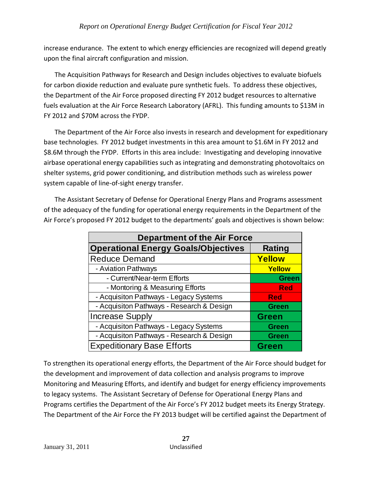increase endurance. The extent to which energy efficiencies are recognized will depend greatly upon the final aircraft configuration and mission.

The Acquisition Pathways for Research and Design includes objectives to evaluate biofuels for carbon dioxide reduction and evaluate pure synthetic fuels. To address these objectives, the Department of the Air Force proposed directing FY 2012 budget resources to alternative fuels evaluation at the Air Force Research Laboratory (AFRL). This funding amounts to \$13M in FY 2012 and \$70M across the FYDP.

The Department of the Air Force also invests in research and development for expeditionary base technologies. FY 2012 budget investments in this area amount to \$1.6M in FY 2012 and \$8.6M through the FYDP. Efforts in this area include: Investigating and developing innovative airbase operational energy capabilities such as integrating and demonstrating photovoltaics on shelter systems, grid power conditioning, and distribution methods such as wireless power system capable of line‐of‐sight energy transfer.

The Assistant Secretary of Defense for Operational Energy Plans and Programs assessment of the adequacy of the funding for operational energy requirements in the Department of the Air Force's proposed FY 2012 budget to the departments' goals and objectives is shown below:

| <b>Department of the Air Force</b>         |               |  |  |  |
|--------------------------------------------|---------------|--|--|--|
| <b>Operational Energy Goals/Objectives</b> | <b>Rating</b> |  |  |  |
| <b>Reduce Demand</b>                       | Yellow        |  |  |  |
| - Aviation Pathways                        | Yellow        |  |  |  |
| - Current/Near-term Efforts                | <b>Green</b>  |  |  |  |
| - Montoring & Measuring Efforts            | <b>Red</b>    |  |  |  |
| - Acquisiton Pathways - Legacy Systems     | <b>Red</b>    |  |  |  |
| - Acquisiton Pathways - Research & Design  | <b>Green</b>  |  |  |  |
| <b>Increase Supply</b>                     | <b>Green</b>  |  |  |  |
| - Acquisiton Pathways - Legacy Systems     | <b>Green</b>  |  |  |  |
| - Acquisiton Pathways - Research & Design  | <b>Green</b>  |  |  |  |
| <b>Expeditionary Base Efforts</b>          | <b>Green</b>  |  |  |  |

To strengthen its operational energy efforts, the Department of the Air Force should budget for the development and improvement of data collection and analysis programs to improve Monitoring and Measuring Efforts, and identify and budget for energy efficiency improvements to legacy systems. The Assistant Secretary of Defense for Operational Energy Plans and Programs certifies the Department of the Air Force's FY 2012 budget meets its Energy Strategy. The Department of the Air Force the FY 2013 budget will be certified against the Department of